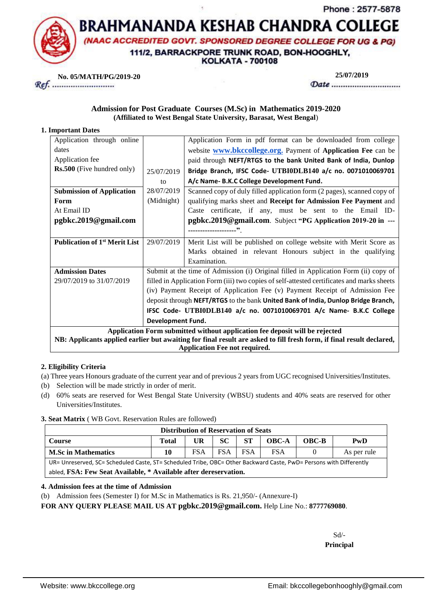**BRAHMANANDA KESHAB CHANDRA COLLEGE** 

(NAAC ACCREDITED GOVT. SPONSORED DEGREE COLLEGE FOR UG & PG)

111/2, BARRACKPORE TRUNK ROAD, BON-HOOGHLY,

**KOLKATA - 700108** 

**No. 05/MATH/PG/2019-20**

**25/07/2019** 

**Admission for Post Graduate Courses (M.Sc) in Mathematics 2019-2020 (Affiliated to West Bengal State University, Barasat, West Bengal**)

### **1. Important Dates**

| Application through online                                                                                           |                                                                                            | Application Form in pdf format can be downloaded from college                        |  |  |
|----------------------------------------------------------------------------------------------------------------------|--------------------------------------------------------------------------------------------|--------------------------------------------------------------------------------------|--|--|
| dates                                                                                                                |                                                                                            | website <b>www.bkccollege.org.</b> Payment of Application Fee can be                 |  |  |
| Application fee                                                                                                      |                                                                                            | paid through NEFT/RTGS to the bank United Bank of India, Dunlop                      |  |  |
| <b>Rs.500</b> (Five hundred only)                                                                                    | 25/07/2019                                                                                 | Bridge Branch, IFSC Code- UTBI0DLB140 a/c no. 0071010069701                          |  |  |
|                                                                                                                      | to                                                                                         | A/c Name- B.K.C College Development Fund.                                            |  |  |
| <b>Submission of Application</b>                                                                                     | 28/07/2019                                                                                 | Scanned copy of duly filled application form (2 pages), scanned copy of              |  |  |
| Form                                                                                                                 | (Midnight)                                                                                 | qualifying marks sheet and Receipt for Admission Fee Payment and                     |  |  |
| At Email ID                                                                                                          |                                                                                            | Caste certificate, if any, must be sent to the Email ID-                             |  |  |
| pgbkc.2019@gmail.com                                                                                                 |                                                                                            | pgbkc.2019@gmail.com. Subject "PG Application 2019-20 in ---                         |  |  |
|                                                                                                                      |                                                                                            | ---------------------??                                                              |  |  |
| <b>Publication of 1st Merit List</b>                                                                                 | 29/07/2019                                                                                 | Merit List will be published on college website with Merit Score as                  |  |  |
|                                                                                                                      |                                                                                            | Marks obtained in relevant Honours subject in the qualifying                         |  |  |
|                                                                                                                      |                                                                                            | Examination.                                                                         |  |  |
| <b>Admission Dates</b>                                                                                               |                                                                                            | Submit at the time of Admission (i) Original filled in Application Form (ii) copy of |  |  |
| 29/07/2019 to 31/07/2019                                                                                             | filled in Application Form (iii) two copies of self-attested certificates and marks sheets |                                                                                      |  |  |
|                                                                                                                      | (iv) Payment Receipt of Application Fee (v) Payment Receipt of Admission Fee               |                                                                                      |  |  |
|                                                                                                                      | deposit through NEFT/RTGS to the bank United Bank of India, Dunlop Bridge Branch,          |                                                                                      |  |  |
|                                                                                                                      | IFSC Code- UTBI0DLB140 a/c no. 0071010069701 A/c Name- B.K.C College                       |                                                                                      |  |  |
|                                                                                                                      | Development Fund.                                                                          |                                                                                      |  |  |
| Application Form submitted without application fee deposit will be rejected                                          |                                                                                            |                                                                                      |  |  |
| NB: Applicants applied earlier but awaiting for final result are asked to fill fresh form, if final result declared, |                                                                                            |                                                                                      |  |  |

## **2. Eligibility Criteria**

(a) Three years Honours graduate of the current year and of previous 2 years from UGC recognised Universities/Institutes.

**Application Fee not required.**

- (b) Selection will be made strictly in order of merit.
- (d) 60% seats are reserved for West Bengal State University (WBSU) students and 40% seats are reserved for other Universities/Institutes.

**3. Seat Matrix** ( WB Govt. Reservation Rules are followed)

| <b>Distribution of Reservation of Seats</b>                                                                        |              |            |            |            |              |              |             |
|--------------------------------------------------------------------------------------------------------------------|--------------|------------|------------|------------|--------------|--------------|-------------|
| <b>Course</b>                                                                                                      | <b>Total</b> | UR         | SC.        | <b>ST</b>  | <b>OBC-A</b> | <b>OBC-B</b> | PwD         |
| <b>M.Sc in Mathematics</b>                                                                                         | 10           | <b>FSA</b> | <b>FSA</b> | <b>FSA</b> | <b>FSA</b>   |              | As per rule |
| UR= Unreserved, SC= Scheduled Caste, ST= Scheduled Tribe, OBC= Other Backward Caste, PwD= Persons with Differently |              |            |            |            |              |              |             |
| abled, FSA: Few Seat Available, * Available after dereservation.                                                   |              |            |            |            |              |              |             |

#### **4. Admission fees at the time of Admission**

(b) Admission fees (Semester I) for M.Sc in Mathematics is Rs. 21,950/- (Annexure-I)

**FOR ANY QUERY PLEASE MAIL US AT pgbkc.2019@gmail.com.** Help Line No.: **8777769080**.

Sd/- **Principal**